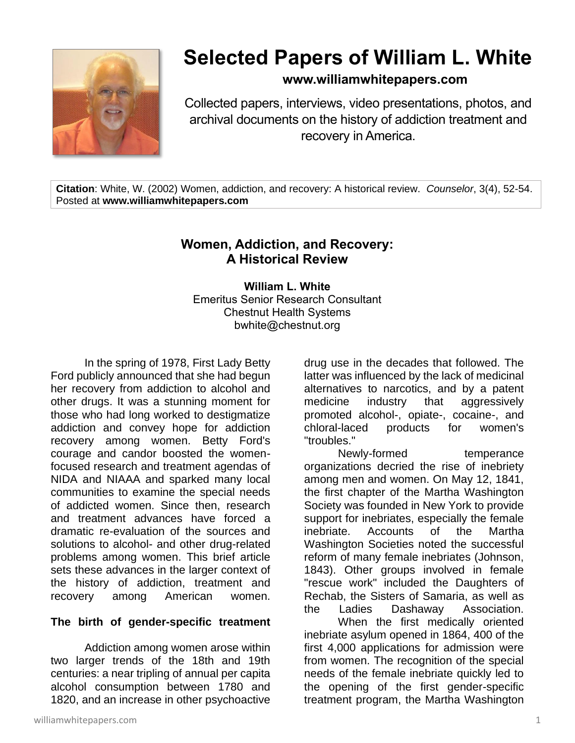

# **Selected Papers of William L. White**

## **www.williamwhitepapers.com**

Collected papers, interviews, video presentations, photos, and archival documents on the history of addiction treatment and recovery in America.

**Citation**: White, W. (2002) Women, addiction, and recovery: A historical review. *Counselor*, 3(4), 52-54. Posted at **www.williamwhitepapers.com**

# **Women, Addiction, and Recovery: A Historical Review**

**William L. White** Emeritus Senior Research Consultant Chestnut Health Systems bwhite@chestnut.org

In the spring of 1978, First Lady Betty Ford publicly announced that she had begun her recovery from addiction to alcohol and other drugs. It was a stunning moment for those who had long worked to destigmatize addiction and convey hope for addiction recovery among women. Betty Ford's courage and candor boosted the womenfocused research and treatment agendas of NIDA and NIAAA and sparked many local communities to examine the special needs of addicted women. Since then, research and treatment advances have forced a dramatic re-evaluation of the sources and solutions to alcohol- and other drug-related problems among women. This brief article sets these advances in the larger context of the history of addiction, treatment and recovery among American women.

#### **The birth of gender-specific treatment**

Addiction among women arose within two larger trends of the 18th and 19th centuries: a near tripling of annual per capita alcohol consumption between 1780 and 1820, and an increase in other psychoactive

drug use in the decades that followed. The latter was influenced by the lack of medicinal alternatives to narcotics, and by a patent medicine industry that aggressively promoted alcohol-, opiate-, cocaine-, and chloral-laced products for women's "troubles."

Newly-formed temperance organizations decried the rise of inebriety among men and women. On May 12, 1841, the first chapter of the Martha Washington Society was founded in New York to provide support for inebriates, especially the female inebriate. Accounts of the Martha Washington Societies noted the successful reform of many female inebriates (Johnson, 1843). Other groups involved in female "rescue work" included the Daughters of Rechab, the Sisters of Samaria, as well as the Ladies Dashaway Association.

When the first medically oriented inebriate asylum opened in 1864, 400 of the first 4,000 applications for admission were from women. The recognition of the special needs of the female inebriate quickly led to the opening of the first gender-specific treatment program, the Martha Washington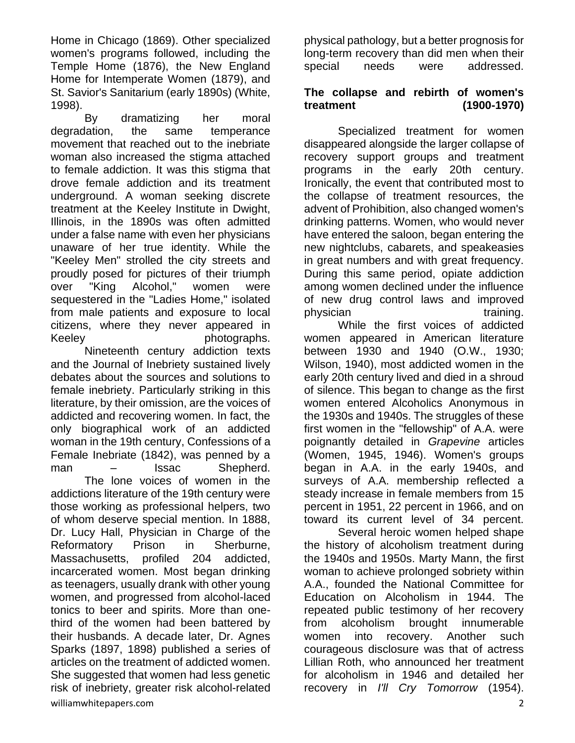Home in Chicago (1869). Other specialized women's programs followed, including the Temple Home (1876), the New England Home for Intemperate Women (1879), and St. Savior's Sanitarium (early 1890s) (White, 1998).

By dramatizing her moral degradation, the same temperance movement that reached out to the inebriate woman also increased the stigma attached to female addiction. It was this stigma that drove female addiction and its treatment underground. A woman seeking discrete treatment at the Keeley Institute in Dwight, Illinois, in the 1890s was often admitted under a false name with even her physicians unaware of her true identity. While the "Keeley Men" strolled the city streets and proudly posed for pictures of their triumph over "King Alcohol," women were sequestered in the "Ladies Home," isolated from male patients and exposure to local citizens, where they never appeared in Keeley **photographs**.

williamwhitepapers.com 2 Nineteenth century addiction texts and the Journal of Inebriety sustained lively debates about the sources and solutions to female inebriety. Particularly striking in this literature, by their omission, are the voices of addicted and recovering women. In fact, the only biographical work of an addicted woman in the 19th century, Confessions of a Female Inebriate (1842), was penned by a man – Issac Shepherd. The lone voices of women in the addictions literature of the 19th century were those working as professional helpers, two of whom deserve special mention. In 1888, Dr. Lucy Hall, Physician in Charge of the Reformatory Prison in Sherburne, Massachusetts, profiled 204 addicted, incarcerated women. Most began drinking as teenagers, usually drank with other young women, and progressed from alcohol-laced tonics to beer and spirits. More than onethird of the women had been battered by their husbands. A decade later, Dr. Agnes Sparks (1897, 1898) published a series of articles on the treatment of addicted women. She suggested that women had less genetic risk of inebriety, greater risk alcohol-related

physical pathology, but a better prognosis for long-term recovery than did men when their special needs were addressed.

### **The collapse and rebirth of women's treatment (1900-1970)**

Specialized treatment for women disappeared alongside the larger collapse of recovery support groups and treatment programs in the early 20th century. Ironically, the event that contributed most to the collapse of treatment resources, the advent of Prohibition, also changed women's drinking patterns. Women, who would never have entered the saloon, began entering the new nightclubs, cabarets, and speakeasies in great numbers and with great frequency. During this same period, opiate addiction among women declined under the influence of new drug control laws and improved physician training.

While the first voices of addicted women appeared in American literature between 1930 and 1940 (O.W., 1930; Wilson, 1940), most addicted women in the early 20th century lived and died in a shroud of silence. This began to change as the first women entered Alcoholics Anonymous in the 1930s and 1940s. The struggles of these first women in the "fellowship" of A.A. were poignantly detailed in *Grapevine* articles (Women, 1945, 1946). Women's groups began in A.A. in the early 1940s, and surveys of A.A. membership reflected a steady increase in female members from 15 percent in 1951, 22 percent in 1966, and on toward its current level of 34 percent.

Several heroic women helped shape the history of alcoholism treatment during the 1940s and 1950s. Marty Mann, the first woman to achieve prolonged sobriety within A.A., founded the National Committee for Education on Alcoholism in 1944. The repeated public testimony of her recovery from alcoholism brought innumerable women into recovery. Another such courageous disclosure was that of actress Lillian Roth, who announced her treatment for alcoholism in 1946 and detailed her recovery in *I'll Cry Tomorrow* (1954).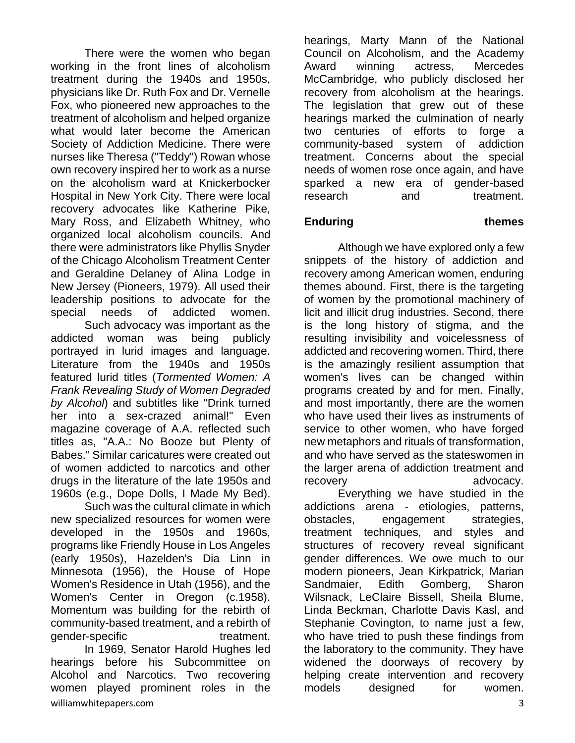There were the women who began working in the front lines of alcoholism treatment during the 1940s and 1950s, physicians like Dr. Ruth Fox and Dr. Vernelle Fox, who pioneered new approaches to the treatment of alcoholism and helped organize what would later become the American Society of Addiction Medicine. There were nurses like Theresa ("Teddy") Rowan whose own recovery inspired her to work as a nurse on the alcoholism ward at Knickerbocker Hospital in New York City. There were local recovery advocates like Katherine Pike, Mary Ross, and Elizabeth Whitney, who organized local alcoholism councils. And there were administrators like Phyllis Snyder of the Chicago Alcoholism Treatment Center and Geraldine Delaney of Alina Lodge in New Jersey (Pioneers, 1979). All used their leadership positions to advocate for the special needs of addicted women.

Such advocacy was important as the addicted woman was being publicly portrayed in lurid images and language. Literature from the 1940s and 1950s featured lurid titles (*Tormented Women: A Frank Revealing Study of Women Degraded by Alcohol*) and subtitles like "Drink turned her into a sex-crazed animal!" Even magazine coverage of A.A. reflected such titles as, "A.A.: No Booze but Plenty of Babes." Similar caricatures were created out of women addicted to narcotics and other drugs in the literature of the late 1950s and 1960s (e.g., Dope Dolls, I Made My Bed).

Such was the cultural climate in which new specialized resources for women were developed in the 1950s and 1960s, programs like Friendly House in Los Angeles (early 1950s), Hazelden's Dia Linn in Minnesota (1956), the House of Hope Women's Residence in Utah (1956), and the Women's Center in Oregon (c.1958). Momentum was building for the rebirth of community-based treatment, and a rebirth of gender-specific treatment. In 1969, Senator Harold Hughes led hearings before his Subcommittee on Alcohol and Narcotics. Two recovering women played prominent roles in the

hearings, Marty Mann of the National Council on Alcoholism, and the Academy Award winning actress, Mercedes McCambridge, who publicly disclosed her recovery from alcoholism at the hearings. The legislation that grew out of these hearings marked the culmination of nearly two centuries of efforts to forge a community-based system of addiction treatment. Concerns about the special needs of women rose once again, and have sparked a new era of gender-based research and treatment.

### **Enduring themes**

Although we have explored only a few snippets of the history of addiction and recovery among American women, enduring themes abound. First, there is the targeting of women by the promotional machinery of licit and illicit drug industries. Second, there is the long history of stigma, and the resulting invisibility and voicelessness of addicted and recovering women. Third, there is the amazingly resilient assumption that women's lives can be changed within programs created by and for men. Finally, and most importantly, there are the women who have used their lives as instruments of service to other women, who have forged new metaphors and rituals of transformation, and who have served as the stateswomen in the larger arena of addiction treatment and recovery extended advocacy.

Everything we have studied in the addictions arena - etiologies, patterns, obstacles, engagement strategies, treatment techniques, and styles and structures of recovery reveal significant gender differences. We owe much to our modern pioneers, Jean Kirkpatrick, Marian Sandmaier, Edith Gomberg, Sharon Wilsnack, LeClaire Bissell, Sheila Blume, Linda Beckman, Charlotte Davis Kasl, and Stephanie Covington, to name just a few, who have tried to push these findings from the laboratory to the community. They have widened the doorways of recovery by helping create intervention and recovery models designed for women.